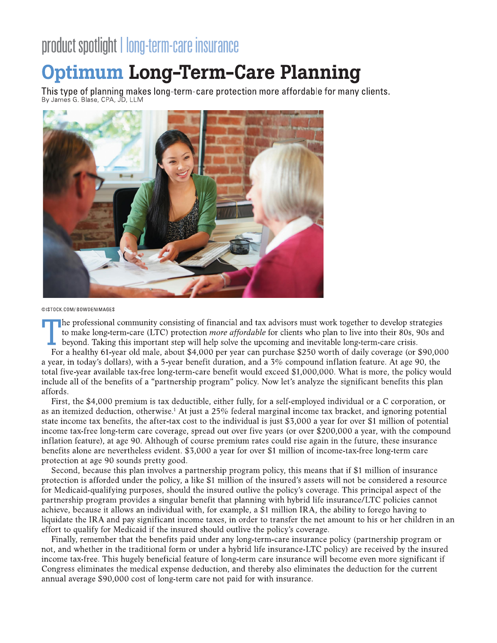# product spotiight i long-term-care insurance



©ISTOCK.COM/BOWDENIMAGES

to make long-term-care (LTC) protection *more affordable* for clients who plan to live into their 80s, 90s and<br>beyond. Taking this important step will help solve the upcoming and inevitable long-term-care crisis.<br>For a hea Lehr professional community consisting of financial and tax advisors must work together to develop strategies to make long-term-care (LTC) protection *more affordable* for clients who plan to live into their 80s, 90s and beyond. Taking this important step will help solve the upcoming and inevitable long-term-care crisis.

a year, in today's dollars), with a 5-year benefit duration, and a  $3\%$  compound inflation feature. At age 90, the total five-year available tax-free long-term-care benefit would exceed \$1,000,000. What is more, the policy would include all of the benefits of a "partnership program" policy. Now let's analyze the significant benefits this plan affords.

First, the \$4,000 premium is tax deductible, either fully, for a self-employed individual or a C corporation, or as an itemized deduction, otherwise.<sup>1</sup> At just a 25% federal marginal income tax bracket, and ignoring potential state income tax benefits, the after-tax cost to the individual is just \$3,000 a year for over \$1 million of potential income tax-free long-term care coverage, spread out over five years (or over \$200,000 a year, with the compound inflation feature), at age 90. Although of course premium rates could rise again in the future, these insurance benefits alone are nevertheless evident. \$3,000 a year for over \$1 million of income-tax-free long-term care protection at age 90 sounds pretty good.

Second, because this plan involves a partnership program policy, this means that if \$1 million of insurance protection is afforded under the policy, a like \$1 million of the insured's assets will not be considered a resource for Medicaid-qualifying purposes, should the insured outlive the policy's coverage. This principal aspect of the partnership program provides a singular benefit that planning with hybrid life insurance/LTC policies cannot achieve, because it allows an individual with, for example, a \$1 million IRA, the ability to forego having to liquidate the IRA and pay significant income taxes, in order to transfer the net amount to his or her children in an effort to qualify for Medicaid if the insured should outlive the policy's coverage.

Finally, remember that the benefits paid under any long-term-care insurance policy (partnership program or hoot, and whether in the traditional form or under a hybrid life insurance-LTC policy) are received by the insured income tax-free. This hugely beneficial feature of long-term care insurance will become even more significant if Congress eliminates the medical expense deduction, and thereby also eliminates the deduction for the current annual average \$90,000 cost of long-term care not paid for with insurance.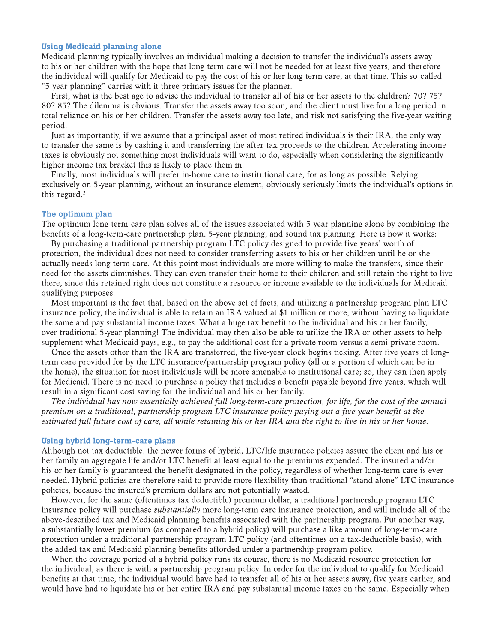#### **Using Medicaid planning alone**

Medicaid planning typically involves an individual making a decision to transfer the individual's assets away to his or her children with the hope that long-term care will not be needed for at least five years, and therefore the individual will qualify for Medicaid to pay the cost of his or her long-term care, at that time. This so-called "5-year planning" carries with it three primary issues for the planner.

First, what is the best age to advise the individual to transfer all of his or her assets to the children? 70? 75? 80? 85? The dilemma is obvious. Transfer the assets away too soon, and the client must live for a long period in total reliance on his or her children. Transfer the assets away too late, and risk not satisfying the five-year waiting period.

Just as importantly, if we assume that a principal asset of most retired individuals is their IRA, the only way to transfer the same is by cashing it and transferring the after-tax proceeds to the children. Accelerating income taxes is obviously not something most individuals will want to do, especially when considering the significantly higher income tax bracket this is likely to place them in.

Finally, most individuals will prefer in-home care to institutional care, for as long as possible. Relying exclusively on 5-year planning, without an insurance element, obviously seriously limits the individual's options in this regard.<sup>2</sup>

### The optimum plan

The optimum long-term-care plan solves all of the issues associated with 5-year planning alone by combining the benefits of a long-term-care partnership plan, 5-year planning, and sound tax planning. Here is how it works:

By purchasing a traditional partnership program LTC policy designed to provide five years' worth of protection, the individual does not need to consider transferring assets to his or her children until he or she actually needs long-term care. At this point most individuals are more willing to make the transfers, since their need for the assets diminishes. They can even transfer their home to their children and still retain the right to live there, since this retained right does not constitute a resource or income available to the individuals for Medicaidqualifying purposes.

Most important is the fact that, based on the above set of facts, and utilizing a partnership program plan LTC insurance policy, the individual is able to retain an IRA valued at \$1 million or more, without having to liquidate the same and pay substantial income taxes. What a huge tax benefit to the individual and his or her family, over traditional 5-year planning! The individual may then also be able to utilize the IRA or other assets to help supplement what Medicaid pays, e.g., to pay the additional cost for a private room versus a semi-private room.

Once the assets other than the IRA are transferred, the five-year clock begins ticking. After five years of longterm care provided for by the LTC insurance/partnership program policy (all or a portion of which can be in the home), the situation for most individuals will be more amenable to institutional care; so, they can then apply for Medicaid. There is no need to purchase a policy that includes a benefit payable beyond five years, which will result in a significant cost saving for the individual and his or her family.

The individual has now essentially achieved full long-term-care protection, for life, for the cost of the annual premium on a traditional, partnership program LTC insurance policy paying out a five-year benefit at the estimated full future cost of care, all while retaining his or her IRA and the right to live in his or her home.

#### Using hybrid long-term-care plans

Although not tax deductible, the newer forms of hybrid, LTC/life insurance policies assure the client and his or her family an aggregate life and/or LTC benefit at least equal to the premiums expended. The insured and/or his or her family is guaranteed the benefit designated in the policy, regardless of whether long-term care is ever needed. Hybrid policies are therefore said to provide more flexibility than traditional "stand alone" LTC insurance policies, because the insured's premium dollars are not potentially wasted.

However, for the same (oftentimes tax deductible) premium dollar, a traditional partnership program LTC insurance policy will purchase *substantially* more long-term care insurance protection, and will include all of the above-described tax and Medicaid planning benefits associated with the partnership program. Put another way, a substantially lower premium (as compared to a hybrid policy) will purchase a like amount of long-term-care protection under a traditional partnership program LTC policy (and oftentimes on a tax-deductible basis), with the added tax and Medicaid planning benefits afforded under a partnership program policy.

When the coverage period of a hybrid policy runs its course, there is no Medicaid resource protection for the individual, as there is with a partnership program policy. In order for the individual to qualify for Medicaid benefits at that time, the individual would have had to transfer all of his or her assets away, five years earlier, and would have had to liquidate his or her entire IRA and pay substantial income taxes on the same. Especially when